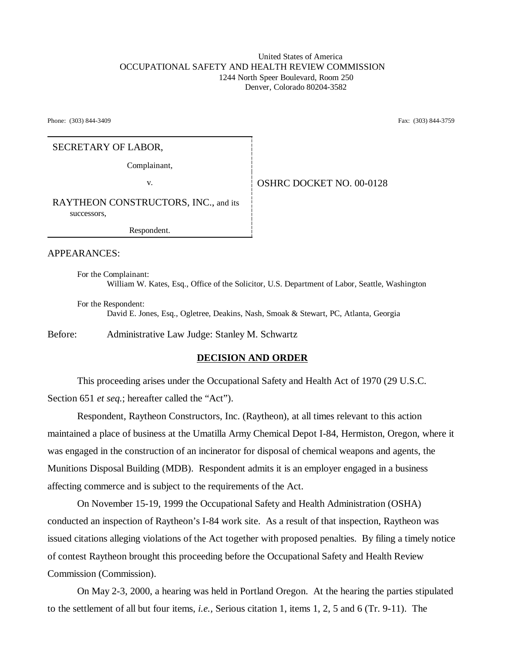#### United States of America OCCUPATIONAL SAFETY AND HEALTH REVIEW COMMISSION 1244 North Speer Boulevard, Room 250 Denver, Colorado 80204-3582

Phone: (303) 844-3409 **Fax:** (303) 844-3759

# SECRETARY OF LABOR,

Complainant,

# v. Same **OSHRC DOCKET NO. 00-0128**

RAYTHEON CONSTRUCTORS, INC., and its successors,

Respondent.

# APPEARANCES:

For the Complainant: William W. Kates, Esq., Office of the Solicitor, U.S. Department of Labor, Seattle, Washington

For the Respondent: David E. Jones, Esq., Ogletree, Deakins, Nash, Smoak & Stewart, PC, Atlanta, Georgia

Before: Administrative Law Judge: Stanley M. Schwartz

## **DECISION AND ORDER**

This proceeding arises under the Occupational Safety and Health Act of 1970 (29 U.S.C. Section 651 *et seq.*; hereafter called the "Act").

Respondent, Raytheon Constructors, Inc. (Raytheon), at all times relevant to this action maintained a place of business at the Umatilla Army Chemical Depot I-84, Hermiston, Oregon, where it was engaged in the construction of an incinerator for disposal of chemical weapons and agents, the Munitions Disposal Building (MDB). Respondent admits it is an employer engaged in a business affecting commerce and is subject to the requirements of the Act.

On November 15-19, 1999 the Occupational Safety and Health Administration (OSHA) conducted an inspection of Raytheon's I-84 work site. As a result of that inspection, Raytheon was issued citations alleging violations of the Act together with proposed penalties. By filing a timely notice of contest Raytheon brought this proceeding before the Occupational Safety and Health Review Commission (Commission).

On May 2-3, 2000, a hearing was held in Portland Oregon. At the hearing the parties stipulated to the settlement of all but four items, *i.e.,* Serious citation 1, items 1, 2, 5 and 6 (Tr. 9-11). The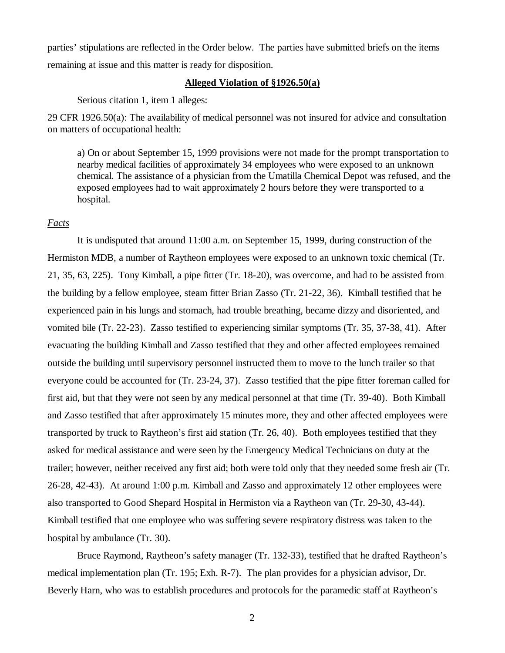parties' stipulations are reflected in the Order below. The parties have submitted briefs on the items remaining at issue and this matter is ready for disposition.

#### **Alleged Violation of §1926.50(a)**

Serious citation 1, item 1 alleges:

29 CFR 1926.50(a): The availability of medical personnel was not insured for advice and consultation on matters of occupational health:

a) On or about September 15, 1999 provisions were not made for the prompt transportation to nearby medical facilities of approximately 34 employees who were exposed to an unknown chemical. The assistance of a physician from the Umatilla Chemical Depot was refused, and the exposed employees had to wait approximately 2 hours before they were transported to a hospital.

### *Facts*

It is undisputed that around 11:00 a.m. on September 15, 1999, during construction of the Hermiston MDB, a number of Raytheon employees were exposed to an unknown toxic chemical (Tr. 21, 35, 63, 225). Tony Kimball, a pipe fitter (Tr. 18-20), was overcome, and had to be assisted from the building by a fellow employee, steam fitter Brian Zasso (Tr. 21-22, 36). Kimball testified that he experienced pain in his lungs and stomach, had trouble breathing, became dizzy and disoriented, and vomited bile (Tr. 22-23). Zasso testified to experiencing similar symptoms (Tr. 35, 37-38, 41). After evacuating the building Kimball and Zasso testified that they and other affected employees remained outside the building until supervisory personnel instructed them to move to the lunch trailer so that everyone could be accounted for (Tr. 23-24, 37). Zasso testified that the pipe fitter foreman called for first aid, but that they were not seen by any medical personnel at that time (Tr. 39-40). Both Kimball and Zasso testified that after approximately 15 minutes more, they and other affected employees were transported by truck to Raytheon's first aid station (Tr. 26, 40). Both employees testified that they asked for medical assistance and were seen by the Emergency Medical Technicians on duty at the trailer; however, neither received any first aid; both were told only that they needed some fresh air (Tr. 26-28, 42-43). At around 1:00 p.m. Kimball and Zasso and approximately 12 other employees were also transported to Good Shepard Hospital in Hermiston via a Raytheon van (Tr. 29-30, 43-44). Kimball testified that one employee who was suffering severe respiratory distress was taken to the hospital by ambulance (Tr. 30).

Bruce Raymond, Raytheon's safety manager (Tr. 132-33), testified that he drafted Raytheon's medical implementation plan (Tr. 195; Exh. R-7). The plan provides for a physician advisor, Dr. Beverly Harn, who was to establish procedures and protocols for the paramedic staff at Raytheon's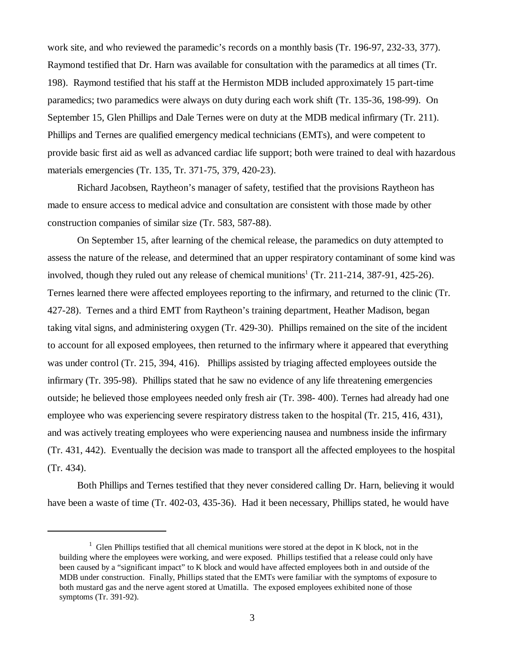work site, and who reviewed the paramedic's records on a monthly basis (Tr. 196-97, 232-33, 377). Raymond testified that Dr. Harn was available for consultation with the paramedics at all times (Tr. 198). Raymond testified that his staff at the Hermiston MDB included approximately 15 part-time paramedics; two paramedics were always on duty during each work shift (Tr. 135-36, 198-99). On September 15, Glen Phillips and Dale Ternes were on duty at the MDB medical infirmary (Tr. 211). Phillips and Ternes are qualified emergency medical technicians (EMTs), and were competent to provide basic first aid as well as advanced cardiac life support; both were trained to deal with hazardous materials emergencies (Tr. 135, Tr. 371-75, 379, 420-23).

Richard Jacobsen, Raytheon's manager of safety, testified that the provisions Raytheon has made to ensure access to medical advice and consultation are consistent with those made by other construction companies of similar size (Tr. 583, 587-88).

On September 15, after learning of the chemical release, the paramedics on duty attempted to assess the nature of the release, and determined that an upper respiratory contaminant of some kind was involved, though they ruled out any release of chemical munitions<sup>1</sup> (Tr. 211-214, 387-91, 425-26). Ternes learned there were affected employees reporting to the infirmary, and returned to the clinic (Tr. 427-28). Ternes and a third EMT from Raytheon's training department, Heather Madison, began taking vital signs, and administering oxygen (Tr. 429-30). Phillips remained on the site of the incident to account for all exposed employees, then returned to the infirmary where it appeared that everything was under control (Tr. 215, 394, 416). Phillips assisted by triaging affected employees outside the infirmary (Tr. 395-98). Phillips stated that he saw no evidence of any life threatening emergencies outside; he believed those employees needed only fresh air (Tr. 398- 400). Ternes had already had one employee who was experiencing severe respiratory distress taken to the hospital (Tr. 215, 416, 431), and was actively treating employees who were experiencing nausea and numbness inside the infirmary (Tr. 431, 442). Eventually the decision was made to transport all the affected employees to the hospital (Tr. 434).

Both Phillips and Ternes testified that they never considered calling Dr. Harn, believing it would have been a waste of time (Tr. 402-03, 435-36). Had it been necessary, Phillips stated, he would have

 $1$  Glen Phillips testified that all chemical munitions were stored at the depot in K block, not in the building where the employees were working, and were exposed. Phillips testified that a release could only have been caused by a "significant impact" to K block and would have affected employees both in and outside of the MDB under construction. Finally, Phillips stated that the EMTs were familiar with the symptoms of exposure to both mustard gas and the nerve agent stored at Umatilla. The exposed employees exhibited none of those symptoms (Tr. 391-92).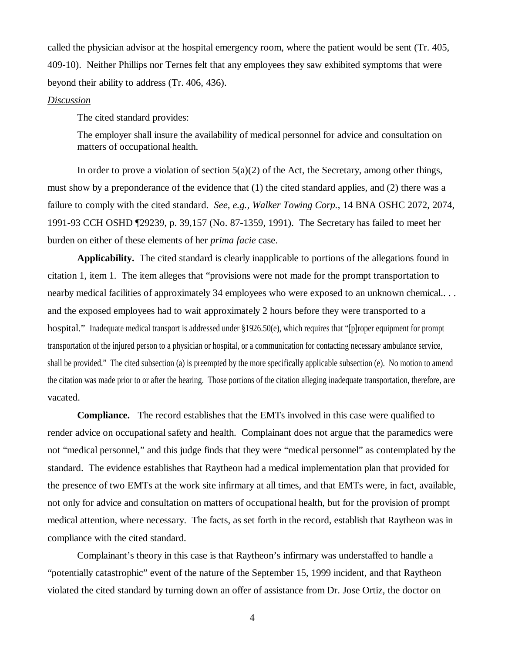called the physician advisor at the hospital emergency room, where the patient would be sent (Tr. 405, 409-10). Neither Phillips nor Ternes felt that any employees they saw exhibited symptoms that were beyond their ability to address (Tr. 406, 436).

#### *Discussion*

The cited standard provides:

The employer shall insure the availability of medical personnel for advice and consultation on matters of occupational health.

In order to prove a violation of section  $5(a)(2)$  of the Act, the Secretary, among other things, must show by a preponderance of the evidence that (1) the cited standard applies, and (2) there was a failure to comply with the cited standard. *See, e.g., Walker Towing Corp.*, 14 BNA OSHC 2072, 2074, 1991-93 CCH OSHD ¶29239, p. 39,157 (No. 87-1359, 1991). The Secretary has failed to meet her burden on either of these elements of her *prima facie* case.

**Applicability.** The cited standard is clearly inapplicable to portions of the allegations found in citation 1, item 1. The item alleges that "provisions were not made for the prompt transportation to nearby medical facilities of approximately 34 employees who were exposed to an unknown chemical... and the exposed employees had to wait approximately 2 hours before they were transported to a hospital." Inadequate medical transport is addressed under §1926.50(e), which requires that "[p]roper equipment for prompt transportation of the injured person to a physician or hospital, or a communication for contacting necessary ambulance service, shall be provided." The cited subsection (a) is preempted by the more specifically applicable subsection (e). No motion to amend the citation was made prior to or after the hearing. Those portions of the citation alleging inadequate transportation, therefore, are vacated.

**Compliance.** The record establishes that the EMTs involved in this case were qualified to render advice on occupational safety and health. Complainant does not argue that the paramedics were not "medical personnel," and this judge finds that they were "medical personnel" as contemplated by the standard. The evidence establishes that Raytheon had a medical implementation plan that provided for the presence of two EMTs at the work site infirmary at all times, and that EMTs were, in fact, available, not only for advice and consultation on matters of occupational health, but for the provision of prompt medical attention, where necessary. The facts, as set forth in the record, establish that Raytheon was in compliance with the cited standard.

Complainant's theory in this case is that Raytheon's infirmary was understaffed to handle a "potentially catastrophic" event of the nature of the September 15, 1999 incident, and that Raytheon violated the cited standard by turning down an offer of assistance from Dr. Jose Ortiz, the doctor on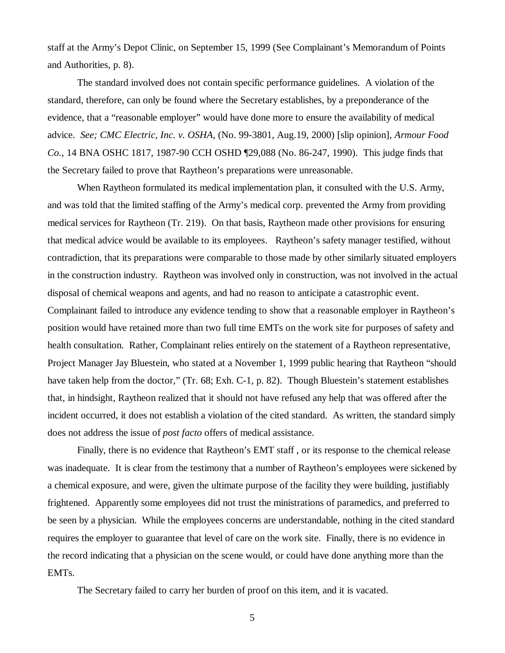staff at the Army's Depot Clinic, on September 15, 1999 (See Complainant's Memorandum of Points and Authorities, p. 8).

The standard involved does not contain specific performance guidelines. A violation of the standard, therefore, can only be found where the Secretary establishes, by a preponderance of the evidence, that a "reasonable employer" would have done more to ensure the availability of medical advice. *See; CMC Electric, Inc. v. OSHA,* (No. 99-3801, Aug.19, 2000) [slip opinion], *Armour Food Co.*, 14 BNA OSHC 1817, 1987-90 CCH OSHD ¶29,088 (No. 86-247, 1990). This judge finds that the Secretary failed to prove that Raytheon's preparations were unreasonable.

When Raytheon formulated its medical implementation plan, it consulted with the U.S. Army, and was told that the limited staffing of the Army's medical corp. prevented the Army from providing medical services for Raytheon (Tr. 219). On that basis, Raytheon made other provisions for ensuring that medical advice would be available to its employees. Raytheon's safety manager testified, without contradiction, that its preparations were comparable to those made by other similarly situated employers in the construction industry. Raytheon was involved only in construction, was not involved in the actual disposal of chemical weapons and agents, and had no reason to anticipate a catastrophic event.

Complainant failed to introduce any evidence tending to show that a reasonable employer in Raytheon's position would have retained more than two full time EMTs on the work site for purposes of safety and health consultation. Rather, Complainant relies entirely on the statement of a Raytheon representative, Project Manager Jay Bluestein, who stated at a November 1, 1999 public hearing that Raytheon "should have taken help from the doctor," (Tr. 68; Exh. C-1, p. 82). Though Bluestein's statement establishes that, in hindsight, Raytheon realized that it should not have refused any help that was offered after the incident occurred, it does not establish a violation of the cited standard. As written, the standard simply does not address the issue of *post facto* offers of medical assistance.

Finally, there is no evidence that Raytheon's EMT staff , or its response to the chemical release was inadequate. It is clear from the testimony that a number of Raytheon's employees were sickened by a chemical exposure, and were, given the ultimate purpose of the facility they were building, justifiably frightened. Apparently some employees did not trust the ministrations of paramedics, and preferred to be seen by a physician. While the employees concerns are understandable, nothing in the cited standard requires the employer to guarantee that level of care on the work site. Finally, there is no evidence in the record indicating that a physician on the scene would, or could have done anything more than the EMTs.

The Secretary failed to carry her burden of proof on this item, and it is vacated.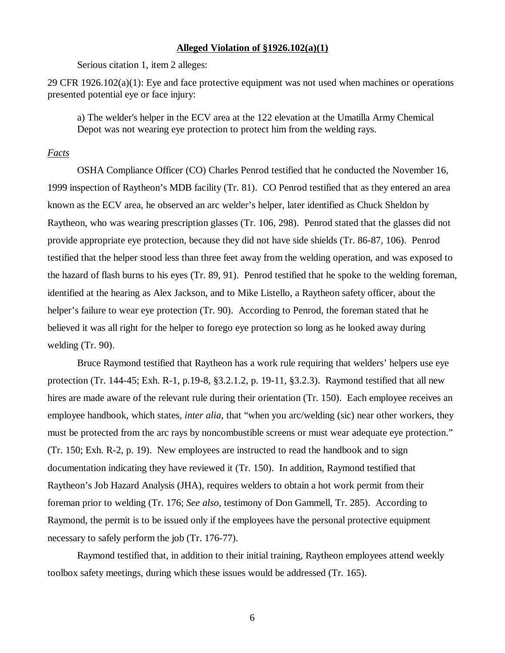#### **Alleged Violation of §1926.102(a)(1)**

Serious citation 1, item 2 alleges:

29 CFR  $1926.102(a)(1)$ : Eye and face protective equipment was not used when machines or operations presented potential eye or face injury:

a) The welder's helper in the ECV area at the 122 elevation at the Umatilla Army Chemical Depot was not wearing eye protection to protect him from the welding rays.

#### *Facts*

OSHA Compliance Officer (CO) Charles Penrod testified that he conducted the November 16, 1999 inspection of Raytheon's MDB facility (Tr. 81). CO Penrod testified that as they entered an area known as the ECV area, he observed an arc welder's helper, later identified as Chuck Sheldon by Raytheon, who was wearing prescription glasses (Tr. 106, 298). Penrod stated that the glasses did not provide appropriate eye protection, because they did not have side shields (Tr. 86-87, 106). Penrod testified that the helper stood less than three feet away from the welding operation, and was exposed to the hazard of flash burns to his eyes (Tr. 89, 91). Penrod testified that he spoke to the welding foreman, identified at the hearing as Alex Jackson, and to Mike Listello, a Raytheon safety officer, about the helper's failure to wear eye protection (Tr. 90). According to Penrod, the foreman stated that he believed it was all right for the helper to forego eye protection so long as he looked away during welding (Tr. 90).

Bruce Raymond testified that Raytheon has a work rule requiring that welders' helpers use eye protection (Tr. 144-45; Exh. R-1, p.19-8, §3.2.1.2, p. 19-11, §3.2.3). Raymond testified that all new hires are made aware of the relevant rule during their orientation (Tr. 150). Each employee receives an employee handbook, which states, *inter alia,* that "when you arc/welding (sic) near other workers, they must be protected from the arc rays by noncombustible screens or must wear adequate eye protection." (Tr. 150; Exh. R-2, p. 19). New employees are instructed to read the handbook and to sign documentation indicating they have reviewed it (Tr. 150). In addition, Raymond testified that Raytheon's Job Hazard Analysis (JHA), requires welders to obtain a hot work permit from their foreman prior to welding (Tr. 176; *See also,* testimony of Don Gammell, Tr. 285). According to Raymond, the permit is to be issued only if the employees have the personal protective equipment necessary to safely perform the job (Tr. 176-77).

Raymond testified that, in addition to their initial training, Raytheon employees attend weekly toolbox safety meetings, during which these issues would be addressed (Tr. 165).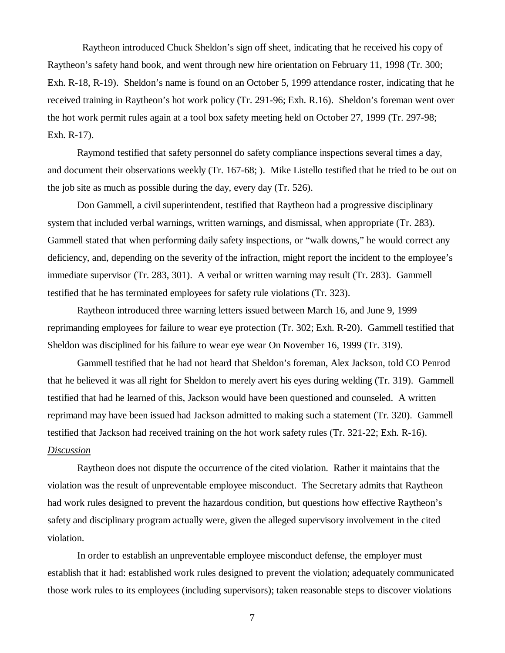Raytheon introduced Chuck Sheldon's sign off sheet, indicating that he received his copy of Raytheon's safety hand book, and went through new hire orientation on February 11, 1998 (Tr. 300; Exh. R-18, R-19). Sheldon's name is found on an October 5, 1999 attendance roster, indicating that he received training in Raytheon's hot work policy (Tr. 291-96; Exh. R.16). Sheldon's foreman went over the hot work permit rules again at a tool box safety meeting held on October 27, 1999 (Tr. 297-98; Exh. R-17).

Raymond testified that safety personnel do safety compliance inspections several times a day, and document their observations weekly (Tr. 167-68; ). Mike Listello testified that he tried to be out on the job site as much as possible during the day, every day (Tr. 526).

Don Gammell, a civil superintendent, testified that Raytheon had a progressive disciplinary system that included verbal warnings, written warnings, and dismissal, when appropriate (Tr. 283). Gammell stated that when performing daily safety inspections, or "walk downs," he would correct any deficiency, and, depending on the severity of the infraction, might report the incident to the employee's immediate supervisor (Tr. 283, 301). A verbal or written warning may result (Tr. 283). Gammell testified that he has terminated employees for safety rule violations (Tr. 323).

Raytheon introduced three warning letters issued between March 16, and June 9, 1999 reprimanding employees for failure to wear eye protection (Tr. 302; Exh. R-20). Gammell testified that Sheldon was disciplined for his failure to wear eye wear On November 16, 1999 (Tr. 319).

Gammell testified that he had not heard that Sheldon's foreman, Alex Jackson, told CO Penrod that he believed it was all right for Sheldon to merely avert his eyes during welding (Tr. 319). Gammell testified that had he learned of this, Jackson would have been questioned and counseled. A written reprimand may have been issued had Jackson admitted to making such a statement (Tr. 320). Gammell testified that Jackson had received training on the hot work safety rules (Tr. 321-22; Exh. R-16). *Discussion*

Raytheon does not dispute the occurrence of the cited violation. Rather it maintains that the violation was the result of unpreventable employee misconduct. The Secretary admits that Raytheon had work rules designed to prevent the hazardous condition, but questions how effective Raytheon's safety and disciplinary program actually were, given the alleged supervisory involvement in the cited violation.

In order to establish an unpreventable employee misconduct defense, the employer must establish that it had: established work rules designed to prevent the violation; adequately communicated those work rules to its employees (including supervisors); taken reasonable steps to discover violations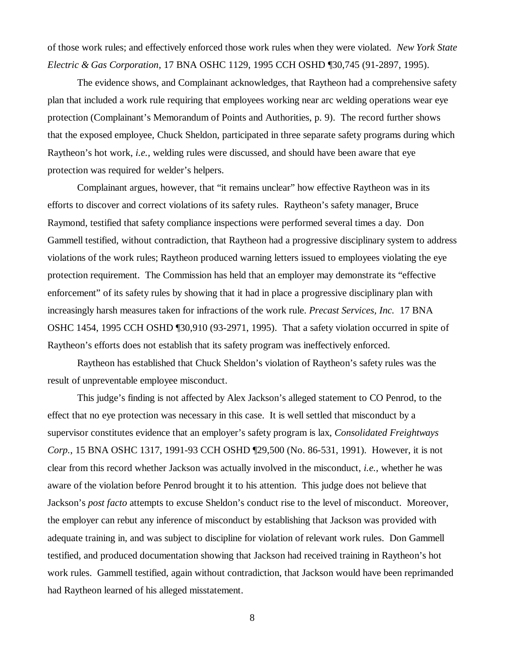of those work rules; and effectively enforced those work rules when they were violated. *New York State Electric & Gas Corporation*, 17 BNA OSHC 1129, 1995 CCH OSHD ¶30,745 (91-2897, 1995).

The evidence shows, and Complainant acknowledges, that Raytheon had a comprehensive safety plan that included a work rule requiring that employees working near arc welding operations wear eye protection (Complainant's Memorandum of Points and Authorities, p. 9). The record further shows that the exposed employee, Chuck Sheldon, participated in three separate safety programs during which Raytheon's hot work, *i.e.,* welding rules were discussed, and should have been aware that eye protection was required for welder's helpers.

Complainant argues, however, that "it remains unclear" how effective Raytheon was in its efforts to discover and correct violations of its safety rules. Raytheon's safety manager, Bruce Raymond, testified that safety compliance inspections were performed several times a day. Don Gammell testified, without contradiction, that Raytheon had a progressive disciplinary system to address violations of the work rules; Raytheon produced warning letters issued to employees violating the eye protection requirement. The Commission has held that an employer may demonstrate its "effective enforcement" of its safety rules by showing that it had in place a progressive disciplinary plan with increasingly harsh measures taken for infractions of the work rule. *Precast Services, Inc.* 17 BNA OSHC 1454, 1995 CCH OSHD ¶30,910 (93-2971, 1995). That a safety violation occurred in spite of Raytheon's efforts does not establish that its safety program was ineffectively enforced.

Raytheon has established that Chuck Sheldon's violation of Raytheon's safety rules was the result of unpreventable employee misconduct.

 This judge's finding is not affected by Alex Jackson's alleged statement to CO Penrod, to the effect that no eye protection was necessary in this case. It is well settled that misconduct by a supervisor constitutes evidence that an employer's safety program is lax, *Consolidated Freightways Corp.*, 15 BNA OSHC 1317, 1991-93 CCH OSHD ¶29,500 (No. 86-531, 1991). However, it is not clear from this record whether Jackson was actually involved in the misconduct, *i.e.,* whether he was aware of the violation before Penrod brought it to his attention. This judge does not believe that Jackson's *post facto* attempts to excuse Sheldon's conduct rise to the level of misconduct. Moreover, the employer can rebut any inference of misconduct by establishing that Jackson was provided with adequate training in, and was subject to discipline for violation of relevant work rules. Don Gammell testified, and produced documentation showing that Jackson had received training in Raytheon's hot work rules. Gammell testified, again without contradiction, that Jackson would have been reprimanded had Raytheon learned of his alleged misstatement.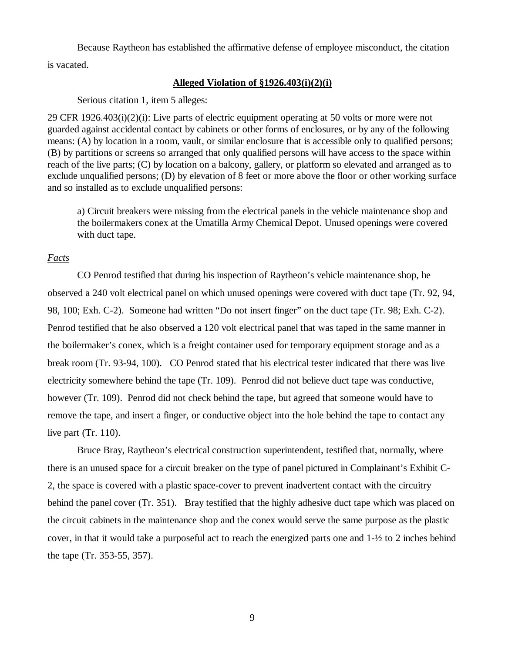Because Raytheon has established the affirmative defense of employee misconduct, the citation is vacated.

### **Alleged Violation of §1926.403(i)(2)(i)**

Serious citation 1, item 5 alleges:

29 CFR 1926.403(i)(2)(i): Live parts of electric equipment operating at 50 volts or more were not guarded against accidental contact by cabinets or other forms of enclosures, or by any of the following means: (A) by location in a room, vault, or similar enclosure that is accessible only to qualified persons; (B) by partitions or screens so arranged that only qualified persons will have access to the space within reach of the live parts; (C) by location on a balcony, gallery, or platform so elevated and arranged as to exclude unqualified persons; (D) by elevation of 8 feet or more above the floor or other working surface and so installed as to exclude unqualified persons:

a) Circuit breakers were missing from the electrical panels in the vehicle maintenance shop and the boilermakers conex at the Umatilla Army Chemical Depot. Unused openings were covered with duct tape.

# *Facts*

CO Penrod testified that during his inspection of Raytheon's vehicle maintenance shop, he observed a 240 volt electrical panel on which unused openings were covered with duct tape (Tr. 92, 94, 98, 100; Exh. C-2). Someone had written "Do not insert finger" on the duct tape (Tr. 98; Exh. C-2). Penrod testified that he also observed a 120 volt electrical panel that was taped in the same manner in the boilermaker's conex, which is a freight container used for temporary equipment storage and as a break room (Tr. 93-94, 100). CO Penrod stated that his electrical tester indicated that there was live electricity somewhere behind the tape (Tr. 109). Penrod did not believe duct tape was conductive, however (Tr. 109). Penrod did not check behind the tape, but agreed that someone would have to remove the tape, and insert a finger, or conductive object into the hole behind the tape to contact any live part (Tr. 110).

Bruce Bray, Raytheon's electrical construction superintendent, testified that, normally, where there is an unused space for a circuit breaker on the type of panel pictured in Complainant's Exhibit C-2, the space is covered with a plastic space-cover to prevent inadvertent contact with the circuitry behind the panel cover (Tr. 351). Bray testified that the highly adhesive duct tape which was placed on the circuit cabinets in the maintenance shop and the conex would serve the same purpose as the plastic cover, in that it would take a purposeful act to reach the energized parts one and 1-½ to 2 inches behind the tape (Tr. 353-55, 357).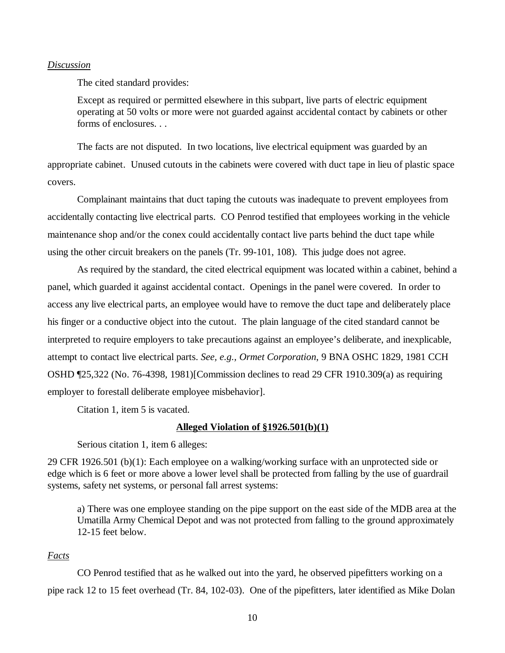#### *Discussion*

The cited standard provides:

Except as required or permitted elsewhere in this subpart, live parts of electric equipment operating at 50 volts or more were not guarded against accidental contact by cabinets or other forms of enclosures. . .

The facts are not disputed. In two locations, live electrical equipment was guarded by an appropriate cabinet. Unused cutouts in the cabinets were covered with duct tape in lieu of plastic space covers.

Complainant maintains that duct taping the cutouts was inadequate to prevent employees from accidentally contacting live electrical parts. CO Penrod testified that employees working in the vehicle maintenance shop and/or the conex could accidentally contact live parts behind the duct tape while using the other circuit breakers on the panels (Tr. 99-101, 108). This judge does not agree.

As required by the standard, the cited electrical equipment was located within a cabinet, behind a panel, which guarded it against accidental contact. Openings in the panel were covered. In order to access any live electrical parts, an employee would have to remove the duct tape and deliberately place his finger or a conductive object into the cutout. The plain language of the cited standard cannot be interpreted to require employers to take precautions against an employee's deliberate, and inexplicable, attempt to contact live electrical parts. *See, e.g., Ormet Corporation*, 9 BNA OSHC 1829, 1981 CCH OSHD ¶25,322 (No. 76-4398, 1981)[Commission declines to read 29 CFR 1910.309(a) as requiring employer to forestall deliberate employee misbehavior].

Citation 1, item 5 is vacated.

#### **Alleged Violation of §1926.501(b)(1)**

Serious citation 1, item 6 alleges:

29 CFR 1926.501 (b)(1): Each employee on a walking/working surface with an unprotected side or edge which is 6 feet or more above a lower level shall be protected from falling by the use of guardrail systems, safety net systems, or personal fall arrest systems:

a) There was one employee standing on the pipe support on the east side of the MDB area at the Umatilla Army Chemical Depot and was not protected from falling to the ground approximately 12-15 feet below.

# *Facts*

CO Penrod testified that as he walked out into the yard, he observed pipefitters working on a pipe rack 12 to 15 feet overhead (Tr. 84, 102-03). One of the pipefitters, later identified as Mike Dolan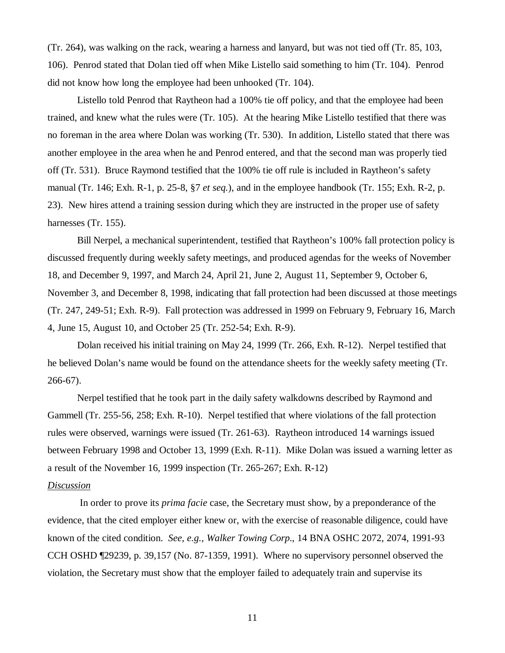(Tr. 264), was walking on the rack, wearing a harness and lanyard, but was not tied off (Tr. 85, 103, 106). Penrod stated that Dolan tied off when Mike Listello said something to him (Tr. 104). Penrod did not know how long the employee had been unhooked (Tr. 104).

Listello told Penrod that Raytheon had a 100% tie off policy, and that the employee had been trained, and knew what the rules were (Tr. 105). At the hearing Mike Listello testified that there was no foreman in the area where Dolan was working (Tr. 530). In addition, Listello stated that there was another employee in the area when he and Penrod entered, and that the second man was properly tied off (Tr. 531). Bruce Raymond testified that the 100% tie off rule is included in Raytheon's safety manual (Tr. 146; Exh. R-1, p. 25-8, §7 *et seq.*), and in the employee handbook (Tr. 155; Exh. R-2, p. 23). New hires attend a training session during which they are instructed in the proper use of safety harnesses (Tr. 155).

Bill Nerpel, a mechanical superintendent, testified that Raytheon's 100% fall protection policy is discussed frequently during weekly safety meetings, and produced agendas for the weeks of November 18, and December 9, 1997, and March 24, April 21, June 2, August 11, September 9, October 6, November 3, and December 8, 1998, indicating that fall protection had been discussed at those meetings (Tr. 247, 249-51; Exh. R-9). Fall protection was addressed in 1999 on February 9, February 16, March 4, June 15, August 10, and October 25 (Tr. 252-54; Exh. R-9).

Dolan received his initial training on May 24, 1999 (Tr. 266, Exh. R-12). Nerpel testified that he believed Dolan's name would be found on the attendance sheets for the weekly safety meeting (Tr. 266-67).

Nerpel testified that he took part in the daily safety walkdowns described by Raymond and Gammell (Tr. 255-56, 258; Exh. R-10). Nerpel testified that where violations of the fall protection rules were observed, warnings were issued (Tr. 261-63). Raytheon introduced 14 warnings issued between February 1998 and October 13, 1999 (Exh. R-11). Mike Dolan was issued a warning letter as a result of the November 16, 1999 inspection (Tr. 265-267; Exh. R-12)

# *Discussion*

 In order to prove its *prima facie* case, the Secretary must show, by a preponderance of the evidence, that the cited employer either knew or, with the exercise of reasonable diligence, could have known of the cited condition. *See, e.g., Walker Towing Corp.*, 14 BNA OSHC 2072, 2074, 1991-93 CCH OSHD ¶29239, p. 39,157 (No. 87-1359, 1991). Where no supervisory personnel observed the violation, the Secretary must show that the employer failed to adequately train and supervise its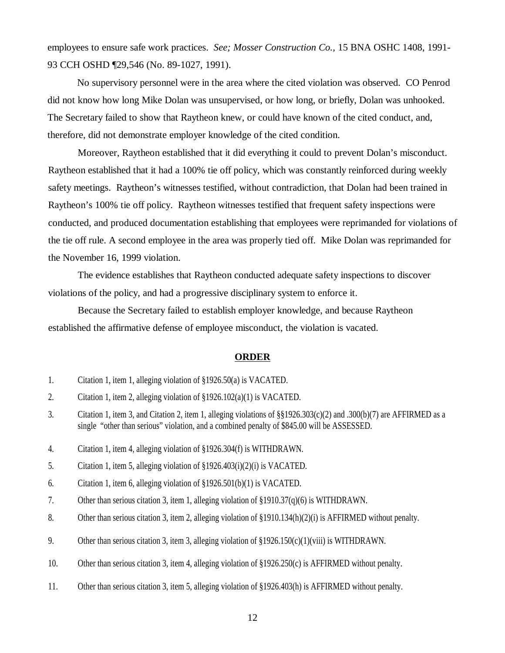employees to ensure safe work practices. *See; Mosser Construction Co.,* 15 BNA OSHC 1408, 1991- 93 CCH OSHD ¶29,546 (No. 89-1027, 1991).

No supervisory personnel were in the area where the cited violation was observed. CO Penrod did not know how long Mike Dolan was unsupervised, or how long, or briefly, Dolan was unhooked. The Secretary failed to show that Raytheon knew, or could have known of the cited conduct, and, therefore, did not demonstrate employer knowledge of the cited condition.

 Moreover, Raytheon established that it did everything it could to prevent Dolan's misconduct. Raytheon established that it had a 100% tie off policy, which was constantly reinforced during weekly safety meetings. Raytheon's witnesses testified, without contradiction, that Dolan had been trained in Raytheon's 100% tie off policy. Raytheon witnesses testified that frequent safety inspections were conducted, and produced documentation establishing that employees were reprimanded for violations of the tie off rule. A second employee in the area was properly tied off. Mike Dolan was reprimanded for the November 16, 1999 violation.

The evidence establishes that Raytheon conducted adequate safety inspections to discover violations of the policy, and had a progressive disciplinary system to enforce it.

Because the Secretary failed to establish employer knowledge, and because Raytheon established the affirmative defense of employee misconduct, the violation is vacated.

#### **ORDER**

- 1. Citation 1, item 1, alleging violation of §1926.50(a) is VACATED.
- 2. Citation 1, item 2, alleging violation of §1926.102(a)(1) is VACATED.
- 3. Citation 1, item 3, and Citation 2, item 1, alleging violations of §§1926.303(c)(2) and .300(b)(7) are AFFIRMED as a single "other than serious" violation, and a combined penalty of \$845.00 will be ASSESSED.
- 4. Citation 1, item 4, alleging violation of §1926.304(f) is WITHDRAWN.
- 5. Citation 1, item 5, alleging violation of §1926.403(i)(2)(i) is VACATED.
- 6. Citation 1, item 6, alleging violation of §1926.501(b)(1) is VACATED.
- 7. Other than serious citation 3, item 1, alleging violation of §1910.37(q)(6) is WITHDRAWN.
- 8. Other than serious citation 3, item 2, alleging violation of §1910.134(h)(2)(i) is AFFIRMED without penalty.
- 9. Other than serious citation 3, item 3, alleging violation of §1926.150(c)(1)(viii) is WITHDRAWN.
- 10. Other than serious citation 3, item 4, alleging violation of §1926.250(c) is AFFIRMED without penalty.
- 11. Other than serious citation 3, item 5, alleging violation of §1926.403(h) is AFFIRMED without penalty.